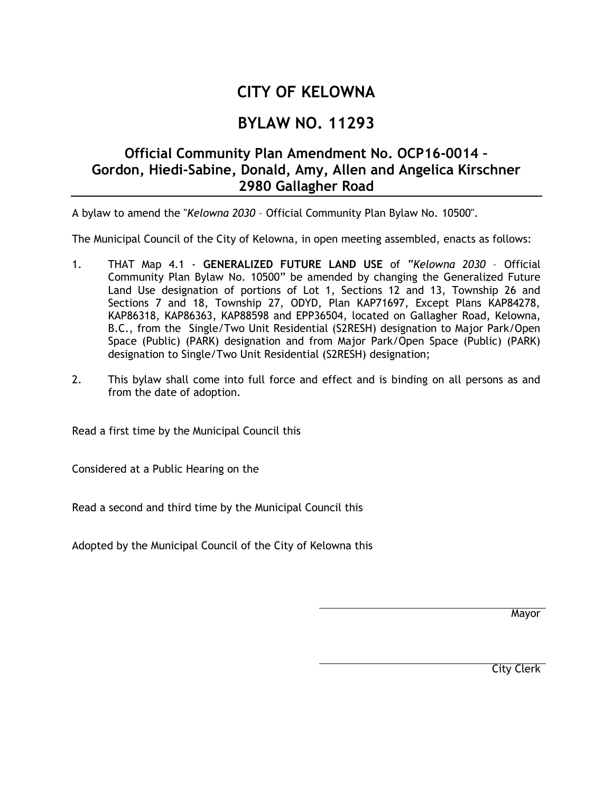## **CITY OF KELOWNA**

## **BYLAW NO. 11293**

## **Official Community Plan Amendment No. OCP16-0014 – Gordon, Hiedi-Sabine, Donald, Amy, Allen and Angelica Kirschner 2980 Gallagher Road**

A bylaw to amend the "*Kelowna 2030* – Official Community Plan Bylaw No. 10500".

The Municipal Council of the City of Kelowna, in open meeting assembled, enacts as follows:

- 1. THAT Map 4.1 **GENERALIZED FUTURE LAND USE** of "*Kelowna 2030* Official Community Plan Bylaw No. 10500" be amended by changing the Generalized Future Land Use designation of portions of Lot 1, Sections 12 and 13, Township 26 and Sections 7 and 18, Township 27, ODYD, Plan KAP71697, Except Plans KAP84278, KAP86318, KAP86363, KAP88598 and EPP36504, located on Gallagher Road, Kelowna, B.C., from the Single/Two Unit Residential (S2RESH) designation to Major Park/Open Space (Public) (PARK) designation and from Major Park/Open Space (Public) (PARK) designation to Single/Two Unit Residential (S2RESH) designation;
- 2. This bylaw shall come into full force and effect and is binding on all persons as and from the date of adoption.

Read a first time by the Municipal Council this

Considered at a Public Hearing on the

Read a second and third time by the Municipal Council this

Adopted by the Municipal Council of the City of Kelowna this

Mayor

City Clerk